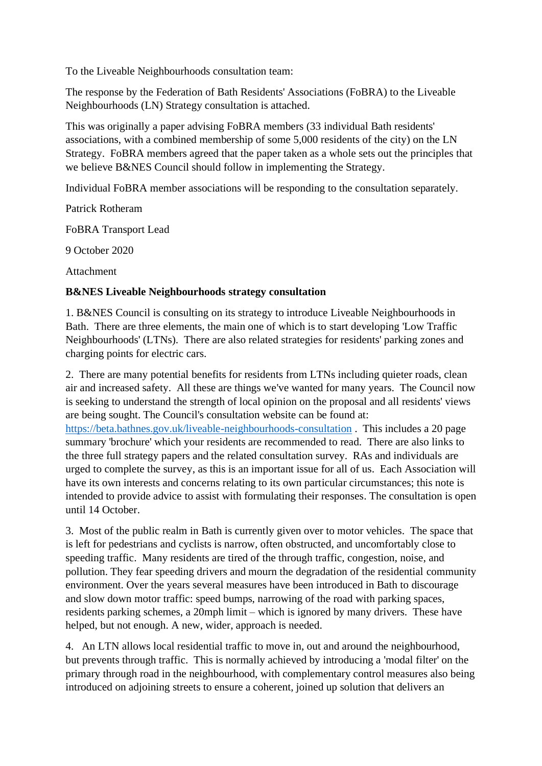To the Liveable Neighbourhoods consultation team:

The response by the Federation of Bath Residents' Associations (FoBRA) to the Liveable Neighbourhoods (LN) Strategy consultation is attached.

This was originally a paper advising FoBRA members (33 individual Bath residents' associations, with a combined membership of some 5,000 residents of the city) on the LN Strategy. FoBRA members agreed that the paper taken as a whole sets out the principles that we believe B&NES Council should follow in implementing the Strategy.

Individual FoBRA member associations will be responding to the consultation separately.

Patrick Rotheram

FoBRA Transport Lead

9 October 2020

Attachment

## **B&NES Liveable Neighbourhoods strategy consultation**

1. B&NES Council is consulting on its strategy to introduce Liveable Neighbourhoods in Bath. There are three elements, the main one of which is to start developing 'Low Traffic Neighbourhoods' (LTNs). There are also related strategies for residents' parking zones and charging points for electric cars.

2. There are many potential benefits for residents from LTNs including quieter roads, clean air and increased safety. All these are things we've wanted for many years. The Council now is seeking to understand the strength of local opinion on the proposal and all residents' views are being sought. The Council's consultation website can be found at: <https://beta.bathnes.gov.uk/liveable-neighbourhoods-consultation> . This includes a 20 page summary 'brochure' which your residents are recommended to read. There are also links to the three full strategy papers and the related consultation survey. RAs and individuals are urged to complete the survey, as this is an important issue for all of us. Each Association will have its own interests and concerns relating to its own particular circumstances; this note is intended to provide advice to assist with formulating their responses. The consultation is open until 14 October.

3. Most of the public realm in Bath is currently given over to motor vehicles. The space that is left for pedestrians and cyclists is narrow, often obstructed, and uncomfortably close to speeding traffic. Many residents are tired of the through traffic, congestion, noise, and pollution. They fear speeding drivers and mourn the degradation of the residential community environment. Over the years several measures have been introduced in Bath to discourage and slow down motor traffic: speed bumps, narrowing of the road with parking spaces, residents parking schemes, a 20mph limit – which is ignored by many drivers. These have helped, but not enough. A new, wider, approach is needed.

4. An LTN allows local residential traffic to move in, out and around the neighbourhood, but prevents through traffic. This is normally achieved by introducing a 'modal filter' on the primary through road in the neighbourhood, with complementary control measures also being introduced on adjoining streets to ensure a coherent, joined up solution that delivers an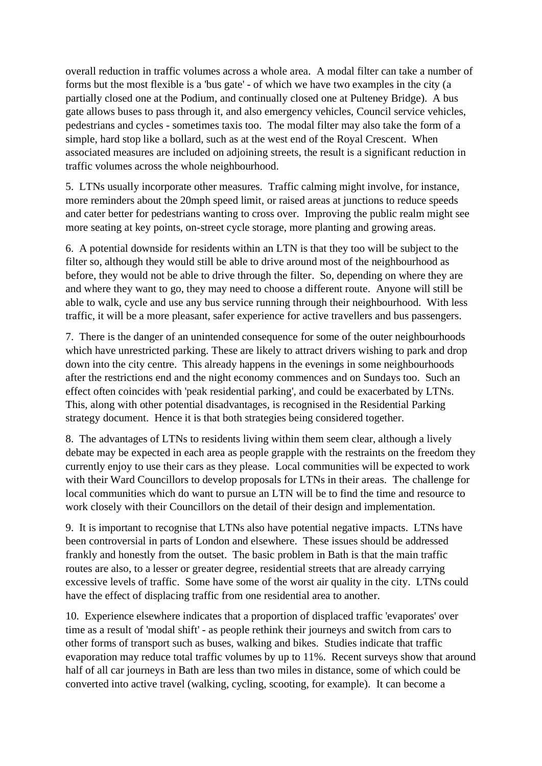overall reduction in traffic volumes across a whole area. A modal filter can take a number of forms but the most flexible is a 'bus gate' - of which we have two examples in the city (a partially closed one at the Podium, and continually closed one at Pulteney Bridge). A bus gate allows buses to pass through it, and also emergency vehicles, Council service vehicles, pedestrians and cycles - sometimes taxis too. The modal filter may also take the form of a simple, hard stop like a bollard, such as at the west end of the Royal Crescent. When associated measures are included on adjoining streets, the result is a significant reduction in traffic volumes across the whole neighbourhood.

5. LTNs usually incorporate other measures. Traffic calming might involve, for instance, more reminders about the 20mph speed limit, or raised areas at junctions to reduce speeds and cater better for pedestrians wanting to cross over. Improving the public realm might see more seating at key points, on-street cycle storage, more planting and growing areas.

6. A potential downside for residents within an LTN is that they too will be subject to the filter so, although they would still be able to drive around most of the neighbourhood as before, they would not be able to drive through the filter. So, depending on where they are and where they want to go, they may need to choose a different route. Anyone will still be able to walk, cycle and use any bus service running through their neighbourhood. With less traffic, it will be a more pleasant, safer experience for active travellers and bus passengers.

7. There is the danger of an unintended consequence for some of the outer neighbourhoods which have unrestricted parking. These are likely to attract drivers wishing to park and drop down into the city centre. This already happens in the evenings in some neighbourhoods after the restrictions end and the night economy commences and on Sundays too. Such an effect often coincides with 'peak residential parking', and could be exacerbated by LTNs. This, along with other potential disadvantages, is recognised in the Residential Parking strategy document. Hence it is that both strategies being considered together.

8. The advantages of LTNs to residents living within them seem clear, although a lively debate may be expected in each area as people grapple with the restraints on the freedom they currently enjoy to use their cars as they please. Local communities will be expected to work with their Ward Councillors to develop proposals for LTNs in their areas. The challenge for local communities which do want to pursue an LTN will be to find the time and resource to work closely with their Councillors on the detail of their design and implementation.

9. It is important to recognise that LTNs also have potential negative impacts. LTNs have been controversial in parts of London and elsewhere. These issues should be addressed frankly and honestly from the outset. The basic problem in Bath is that the main traffic routes are also, to a lesser or greater degree, residential streets that are already carrying excessive levels of traffic. Some have some of the worst air quality in the city. LTNs could have the effect of displacing traffic from one residential area to another.

10. Experience elsewhere indicates that a proportion of displaced traffic 'evaporates' over time as a result of 'modal shift' - as people rethink their journeys and switch from cars to other forms of transport such as buses, walking and bikes. Studies indicate that traffic evaporation may reduce total traffic volumes by up to 11%. Recent surveys show that around half of all car journeys in Bath are less than two miles in distance, some of which could be converted into active travel (walking, cycling, scooting, for example). It can become a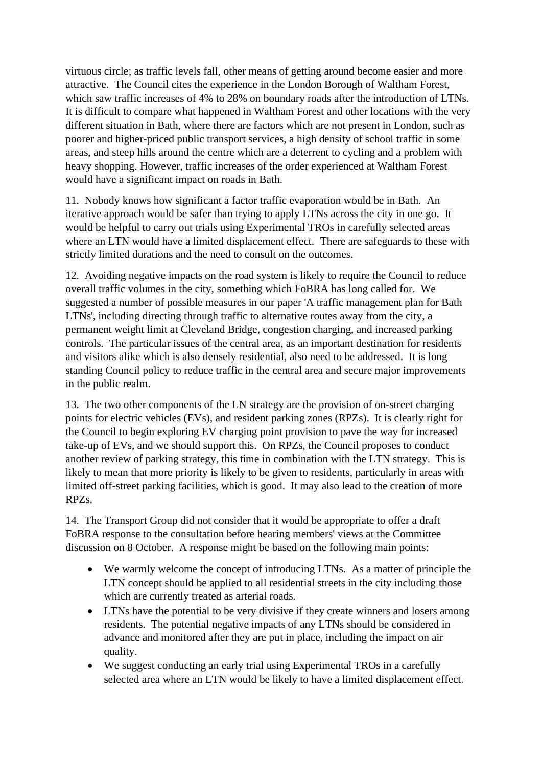virtuous circle; as traffic levels fall, other means of getting around become easier and more attractive. The Council cites the experience in the London Borough of Waltham Forest, which saw traffic increases of 4% to 28% on boundary roads after the introduction of LTNs. It is difficult to compare what happened in Waltham Forest and other locations with the very different situation in Bath, where there are factors which are not present in London, such as poorer and higher-priced public transport services, a high density of school traffic in some areas, and steep hills around the centre which are a deterrent to cycling and a problem with heavy shopping. However, traffic increases of the order experienced at Waltham Forest would have a significant impact on roads in Bath.

11. Nobody knows how significant a factor traffic evaporation would be in Bath. An iterative approach would be safer than trying to apply LTNs across the city in one go. It would be helpful to carry out trials using Experimental TROs in carefully selected areas where an LTN would have a limited displacement effect. There are safeguards to these with strictly limited durations and the need to consult on the outcomes.

12. Avoiding negative impacts on the road system is likely to require the Council to reduce overall traffic volumes in the city, something which FoBRA has long called for. We suggested a number of possible measures in our paper 'A traffic management plan for Bath LTNs', including directing through traffic to alternative routes away from the city, a permanent weight limit at Cleveland Bridge, congestion charging, and increased parking controls. The particular issues of the central area, as an important destination for residents and visitors alike which is also densely residential, also need to be addressed. It is long standing Council policy to reduce traffic in the central area and secure major improvements in the public realm.

13. The two other components of the LN strategy are the provision of on-street charging points for electric vehicles (EVs), and resident parking zones (RPZs). It is clearly right for the Council to begin exploring EV charging point provision to pave the way for increased take-up of EVs, and we should support this. On RPZs, the Council proposes to conduct another review of parking strategy, this time in combination with the LTN strategy. This is likely to mean that more priority is likely to be given to residents, particularly in areas with limited off-street parking facilities, which is good. It may also lead to the creation of more RPZs.

14. The Transport Group did not consider that it would be appropriate to offer a draft FoBRA response to the consultation before hearing members' views at the Committee discussion on 8 October. A response might be based on the following main points:

- We warmly welcome the concept of introducing LTNs. As a matter of principle the LTN concept should be applied to all residential streets in the city including those which are currently treated as arterial roads.
- LTNs have the potential to be very divisive if they create winners and losers among residents. The potential negative impacts of any LTNs should be considered in advance and monitored after they are put in place, including the impact on air quality.
- We suggest conducting an early trial using Experimental TROs in a carefully selected area where an LTN would be likely to have a limited displacement effect.